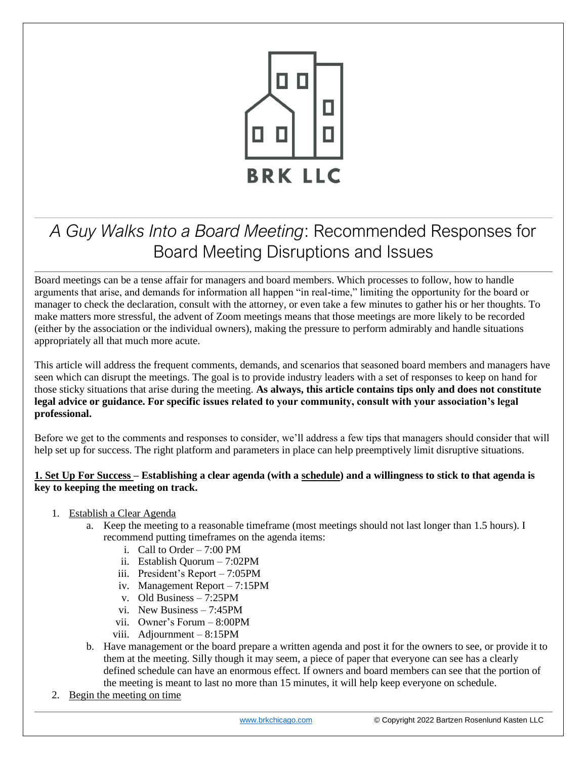

## *A Guy Walks Into a Board Meeting*: Recommended Responses for Board Meeting Disruptions and Issues

Board meetings can be a tense affair for managers and board members. Which processes to follow, how to handle arguments that arise, and demands for information all happen "in real-time," limiting the opportunity for the board or manager to check the declaration, consult with the attorney, or even take a few minutes to gather his or her thoughts. To make matters more stressful, the advent of Zoom meetings means that those meetings are more likely to be recorded (either by the association or the individual owners), making the pressure to perform admirably and handle situations appropriately all that much more acute.

This article will address the frequent comments, demands, and scenarios that seasoned board members and managers have seen which can disrupt the meetings. The goal is to provide industry leaders with a set of responses to keep on hand for those sticky situations that arise during the meeting. **As always, this article contains tips only and does not constitute legal advice or guidance. For specific issues related to your community, consult with your association's legal professional.** 

Before we get to the comments and responses to consider, we'll address a few tips that managers should consider that will help set up for success. The right platform and parameters in place can help preemptively limit disruptive situations.

## **1. Set Up For Success – Establishing a clear agenda (with a schedule) and a willingness to stick to that agenda is key to keeping the meeting on track.**

- 1. Establish a Clear Agenda
	- a. Keep the meeting to a reasonable timeframe (most meetings should not last longer than 1.5 hours). I recommend putting timeframes on the agenda items:
		- i. Call to Order  $-7:00$  PM
		- ii. Establish Quorum 7:02PM
		- iii. President's Report 7:05PM
		- iv. Management Report 7:15PM
		- v. Old Business 7:25PM
		- vi. New Business 7:45PM
		- vii. Owner's Forum 8:00PM
		- viii. Adjournment 8:15PM
	- b. Have management or the board prepare a written agenda and post it for the owners to see, or provide it to them at the meeting. Silly though it may seem, a piece of paper that everyone can see has a clearly defined schedule can have an enormous effect. If owners and board members can see that the portion of the meeting is meant to last no more than 15 minutes, it will help keep everyone on schedule.
- 2. Begin the meeting on time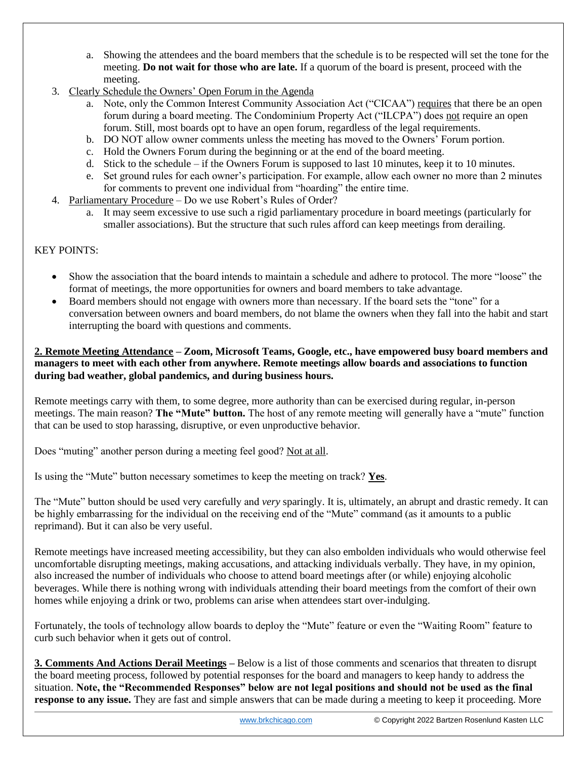- a. Showing the attendees and the board members that the schedule is to be respected will set the tone for the meeting. **Do not wait for those who are late.** If a quorum of the board is present, proceed with the meeting.
- 3. Clearly Schedule the Owners' Open Forum in the Agenda
	- a. Note, only the Common Interest Community Association Act ("CICAA") requires that there be an open forum during a board meeting. The Condominium Property Act ("ILCPA") does not require an open forum. Still, most boards opt to have an open forum, regardless of the legal requirements.
	- b. DO NOT allow owner comments unless the meeting has moved to the Owners' Forum portion.
	- c. Hold the Owners Forum during the beginning or at the end of the board meeting.
	- d. Stick to the schedule if the Owners Forum is supposed to last 10 minutes, keep it to 10 minutes.
	- e. Set ground rules for each owner's participation. For example, allow each owner no more than 2 minutes for comments to prevent one individual from "hoarding" the entire time.
- 4. Parliamentary Procedure Do we use Robert's Rules of Order?
	- a. It may seem excessive to use such a rigid parliamentary procedure in board meetings (particularly for smaller associations). But the structure that such rules afford can keep meetings from derailing.

## KEY POINTS:

- Show the association that the board intends to maintain a schedule and adhere to protocol. The more "loose" the format of meetings, the more opportunities for owners and board members to take advantage.
- Board members should not engage with owners more than necessary. If the board sets the "tone" for a conversation between owners and board members, do not blame the owners when they fall into the habit and start interrupting the board with questions and comments.

## **2. Remote Meeting Attendance – Zoom, Microsoft Teams, Google, etc., have empowered busy board members and managers to meet with each other from anywhere. Remote meetings allow boards and associations to function during bad weather, global pandemics, and during business hours.**

Remote meetings carry with them, to some degree, more authority than can be exercised during regular, in-person meetings. The main reason? **The "Mute" button.** The host of any remote meeting will generally have a "mute" function that can be used to stop harassing, disruptive, or even unproductive behavior.

Does "muting" another person during a meeting feel good? Not at all.

Is using the "Mute" button necessary sometimes to keep the meeting on track? **Yes**.

The "Mute" button should be used very carefully and *very* sparingly. It is, ultimately, an abrupt and drastic remedy. It can be highly embarrassing for the individual on the receiving end of the "Mute" command (as it amounts to a public reprimand). But it can also be very useful.

Remote meetings have increased meeting accessibility, but they can also embolden individuals who would otherwise feel uncomfortable disrupting meetings, making accusations, and attacking individuals verbally. They have, in my opinion, also increased the number of individuals who choose to attend board meetings after (or while) enjoying alcoholic beverages. While there is nothing wrong with individuals attending their board meetings from the comfort of their own homes while enjoying a drink or two, problems can arise when attendees start over-indulging.

Fortunately, the tools of technology allow boards to deploy the "Mute" feature or even the "Waiting Room" feature to curb such behavior when it gets out of control.

**3. Comments And Actions Derail Meetings –** Below is a list of those comments and scenarios that threaten to disrupt the board meeting process, followed by potential responses for the board and managers to keep handy to address the situation. **Note, the "Recommended Responses" below are not legal positions and should not be used as the final response to any issue.** They are fast and simple answers that can be made during a meeting to keep it proceeding. More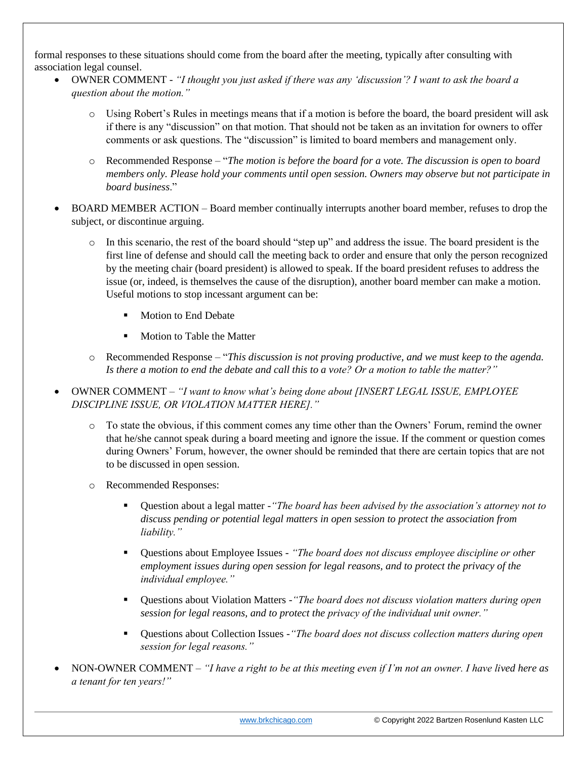formal responses to these situations should come from the board after the meeting, typically after consulting with association legal counsel.

- OWNER COMMENT *"I thought you just asked if there was any 'discussion'? I want to ask the board a question about the motion."*
	- o Using Robert's Rules in meetings means that if a motion is before the board, the board president will ask if there is any "discussion" on that motion. That should not be taken as an invitation for owners to offer comments or ask questions. The "discussion" is limited to board members and management only.
	- o Recommended Response "*The motion is before the board for a vote. The discussion is open to board members only. Please hold your comments until open session. Owners may observe but not participate in board business*."
- BOARD MEMBER ACTION Board member continually interrupts another board member, refuses to drop the subject, or discontinue arguing.
	- o In this scenario, the rest of the board should "step up" and address the issue. The board president is the first line of defense and should call the meeting back to order and ensure that only the person recognized by the meeting chair (board president) is allowed to speak. If the board president refuses to address the issue (or, indeed, is themselves the cause of the disruption), another board member can make a motion. Useful motions to stop incessant argument can be:
		- Motion to End Debate
		- Motion to Table the Matter
	- o Recommended Response "*This discussion is not proving productive, and we must keep to the agenda. Is there a motion to end the debate and call this to a vote? Or a motion to table the matter?"*
- OWNER COMMENT *"I want to know what's being done about [INSERT LEGAL ISSUE, EMPLOYEE DISCIPLINE ISSUE, OR VIOLATION MATTER HERE]."*
	- o To state the obvious, if this comment comes any time other than the Owners' Forum, remind the owner that he/she cannot speak during a board meeting and ignore the issue. If the comment or question comes during Owners' Forum, however, the owner should be reminded that there are certain topics that are not to be discussed in open session.
	- o Recommended Responses:
		- Question about a legal matter -*"The board has been advised by the association's attorney not to discuss pending or potential legal matters in open session to protect the association from liability."*
		- Questions about Employee Issues *"The board does not discuss employee discipline or other employment issues during open session for legal reasons, and to protect the privacy of the individual employee."*
		- Questions about Violation Matters -*"The board does not discuss violation matters during open session for legal reasons, and to protect the privacy of the individual unit owner."*
		- Questions about Collection Issues -*"The board does not discuss collection matters during open session for legal reasons."*
- NON-OWNER COMMENT *"I have a right to be at this meeting even if I'm not an owner. I have lived here as a tenant for ten years!"*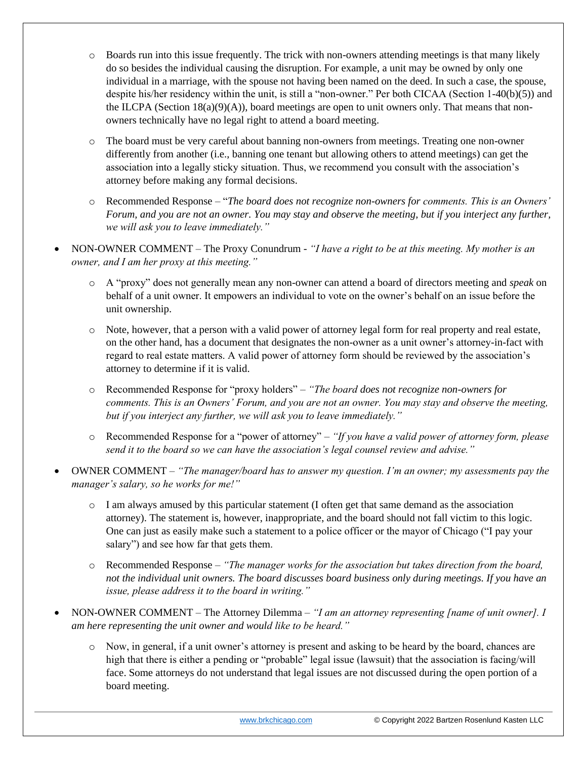- $\circ$  Boards run into this issue frequently. The trick with non-owners attending meetings is that many likely do so besides the individual causing the disruption. For example, a unit may be owned by only one individual in a marriage, with the spouse not having been named on the deed. In such a case, the spouse, despite his/her residency within the unit, is still a "non-owner." Per both CICAA (Section 1-40(b)(5)) and the ILCPA (Section 18(a)(9)(A)), board meetings are open to unit owners only. That means that nonowners technically have no legal right to attend a board meeting.
- o The board must be very careful about banning non-owners from meetings. Treating one non-owner differently from another (i.e., banning one tenant but allowing others to attend meetings) can get the association into a legally sticky situation. Thus, we recommend you consult with the association's attorney before making any formal decisions.
- o Recommended Response "*The board does not recognize non-owners for comments. This is an Owners' Forum, and you are not an owner. You may stay and observe the meeting, but if you interject any further, we will ask you to leave immediately."*
- NON-OWNER COMMENT The Proxy Conundrum *"I have a right to be at this meeting. My mother is an owner, and I am her proxy at this meeting."* 
	- o A "proxy" does not generally mean any non-owner can attend a board of directors meeting and *speak* on behalf of a unit owner. It empowers an individual to vote on the owner's behalf on an issue before the unit ownership.
	- o Note, however, that a person with a valid power of attorney legal form for real property and real estate, on the other hand, has a document that designates the non-owner as a unit owner's attorney-in-fact with regard to real estate matters. A valid power of attorney form should be reviewed by the association's attorney to determine if it is valid.
	- o Recommended Response for "proxy holders" *"The board does not recognize non-owners for comments. This is an Owners' Forum, and you are not an owner. You may stay and observe the meeting, but if you interject any further, we will ask you to leave immediately."*
	- o Recommended Response for a "power of attorney" *"If you have a valid power of attorney form, please send it to the board so we can have the association's legal counsel review and advise."*
- OWNER COMMENT *"The manager/board has to answer my question. I'm an owner; my assessments pay the manager's salary, so he works for me!"*
	- o I am always amused by this particular statement (I often get that same demand as the association attorney). The statement is, however, inappropriate, and the board should not fall victim to this logic. One can just as easily make such a statement to a police officer or the mayor of Chicago ("I pay your salary") and see how far that gets them.
	- o Recommended Response *"The manager works for the association but takes direction from the board, not the individual unit owners. The board discusses board business only during meetings. If you have an issue, please address it to the board in writing."*
- NON-OWNER COMMENT The Attorney Dilemma *"I am an attorney representing [name of unit owner]. I am here representing the unit owner and would like to be heard."*
	- o Now, in general, if a unit owner's attorney is present and asking to be heard by the board, chances are high that there is either a pending or "probable" legal issue (lawsuit) that the association is facing/will face. Some attorneys do not understand that legal issues are not discussed during the open portion of a board meeting.